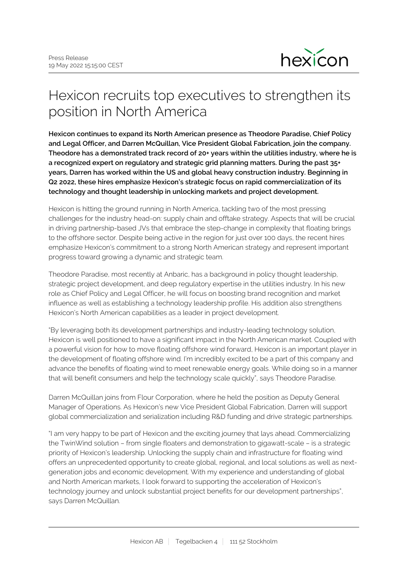

## Hexicon recruits top executives to strengthen its position in North America

**Hexicon continues to expand its North American presence as Theodore Paradise, Chief Policy and Legal Officer, and Darren McQuillan, Vice President Global Fabrication, join the company. Theodore has a demonstrated track record of 20+ years within the utilities industry, where he is a recognized expert on regulatory and strategic grid planning matters. During the past 35+ years, Darren has worked within the US and global heavy construction industry. Beginning in Q2 2022, these hires emphasize Hexicon's strategic focus on rapid commercialization of its technology and thought leadership in unlocking markets and project development.**

Hexicon is hitting the ground running in North America, tackling two of the most pressing challenges for the industry head-on: supply chain and offtake strategy. Aspects that will be crucial in driving partnership-based JVs that embrace the step-change in complexity that floating brings to the offshore sector. Despite being active in the region for just over 100 days, the recent hires emphasize Hexicon's commitment to a strong North American strategy and represent important progress toward growing a dynamic and strategic team.

Theodore Paradise, most recently at Anbaric, has a background in policy thought leadership, strategic project development, and deep regulatory expertise in the utilities industry. In his new role as Chief Policy and Legal Officer, he will focus on boosting brand recognition and market influence as well as establishing a technology leadership profile. His addition also strengthens Hexicon's North American capabilities as a leader in project development.

"By leveraging both its development partnerships and industry-leading technology solution, Hexicon is well positioned to have a significant impact in the North American market. Coupled with a powerful vision for how to move floating offshore wind forward, Hexicon is an important player in the development of floating offshore wind. I'm incredibly excited to be a part of this company and advance the benefits of floating wind to meet renewable energy goals. While doing so in a manner that will benefit consumers and help the technology scale quickly", says Theodore Paradise.

Darren McQuillan joins from Flour Corporation, where he held the position as Deputy General Manager of Operations. As Hexicon's new Vice President Global Fabrication, Darren will support global commercialization and serialization including R&D funding and drive strategic partnerships.

"I am very happy to be part of Hexicon and the exciting journey that lays ahead. Commercializing the TwinWind solution – from single floaters and demonstration to gigawatt-scale – is a strategic priority of Hexicon's leadership. Unlocking the supply chain and infrastructure for floating wind offers an unprecedented opportunity to create global, regional, and local solutions as well as nextgeneration jobs and economic development. With my experience and understanding of global and North American markets, I look forward to supporting the acceleration of Hexicon's technology journey and unlock substantial project benefits for our development partnerships", says Darren McQuillan.